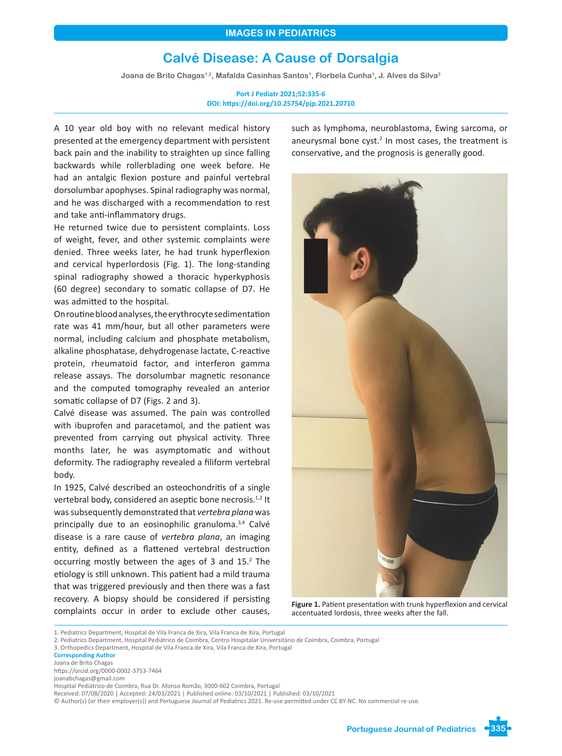# **Calvé Disease: A Cause of Dorsalgia**

Joana de Brito Chagas<sup>1,2</sup>, Mafalda Casinhas Santos<sup>1</sup>, Florbela Cunha<sup>1</sup>, J. Alves da Silva<sup>3</sup>

**Port J Pediatr 2021;52:335-6 DOI: https://doi.org/10.25754/pjp.2021.20710**

A 10 year old boy with no relevant medical history presented at the emergency department with persistent back pain and the inability to straighten up since falling backwards while rollerblading one week before. He had an antalgic flexion posture and painful vertebral dorsolumbar apophyses. Spinal radiography was normal, and he was discharged with a recommendation to rest and take anti-inflammatory drugs.

He returned twice due to persistent complaints. Loss of weight, fever, and other systemic complaints were denied. Three weeks later, he had trunk hyperflexion and cervical hyperlordosis (Fig. 1). The long-standing spinal radiography showed a thoracic hyperkyphosis (60 degree) secondary to somatic collapse of D7. He was admitted to the hospital.

On routine blood analyses, the erythrocyte sedimentation rate was 41 mm/hour, but all other parameters were normal, including calcium and phosphate metabolism, alkaline phosphatase, dehydrogenase lactate, C-reactive protein, rheumatoid factor, and interferon gamma release assays. The dorsolumbar magnetic resonance and the computed tomography revealed an anterior somatic collapse of D7 (Figs. 2 and 3).

Calvé disease was assumed. The pain was controlled with ibuprofen and paracetamol, and the patient was prevented from carrying out physical activity. Three months later, he was asymptomatic and without deformity. The radiography revealed a filiform vertebral body.

In 1925, Calvé described an osteochondritis of a single vertebral body, considered an aseptic bone necrosis.<sup>1,2</sup> It was subsequently demonstrated that *vertebra plana* was principally due to an eosinophilic granuloma.<sup>3,4</sup> Calvé disease is a rare cause of *vertebra plana*, an imaging entity, defined as a flattened vertebral destruction occurring mostly between the ages of 3 and 15.2 The etiology is still unknown. This patient had a mild trauma that was triggered previously and then there was a fast recovery. A biopsy should be considered if persisting complaints occur in order to exclude other causes, such as lymphoma, neuroblastoma, Ewing sarcoma, or aneurysmal bone cyst.<sup>2</sup> In most cases, the treatment is conservative, and the prognosis is generally good.



**Figure 1.** Patient presentation with trunk hyperflexion and cervical accentuated lordosis, three weeks after the fall.

**Corresponding Author**

https://orcid.org/0000-0002-3753-7464

joanabchagas@gmail.com

<sup>1.</sup> Pediatrics Department, Hospital de Vila Franca de Xira, Vila Franca de Xira, Portugal

<sup>2.</sup> Pediatrics Department, Hospital Pediátrico de Coimbra, Centro Hospitalar Universitário de Coimbra, Coimbra, Portugal

<sup>3.</sup> Orthopedics Department, Hospital de Vila Franca de Xira, Vila Franca de Xira, Portugal

Joana de Brito Chagas

Hospital Pediátrico de Coimbra, Rua Dr. Afonso Romão, 3000-602 Coimbra, Portugal

Received: 07/08/2020 | Accepted: 24/03/2021 | Published online: 03/10/2021 | Published: 03/10/2021

<sup>©</sup> Author(s) (or their employer(s)) and Portuguese Journal of Pediatrics 2021. Re-use permitted under CC BY-NC. No commercial re-use.